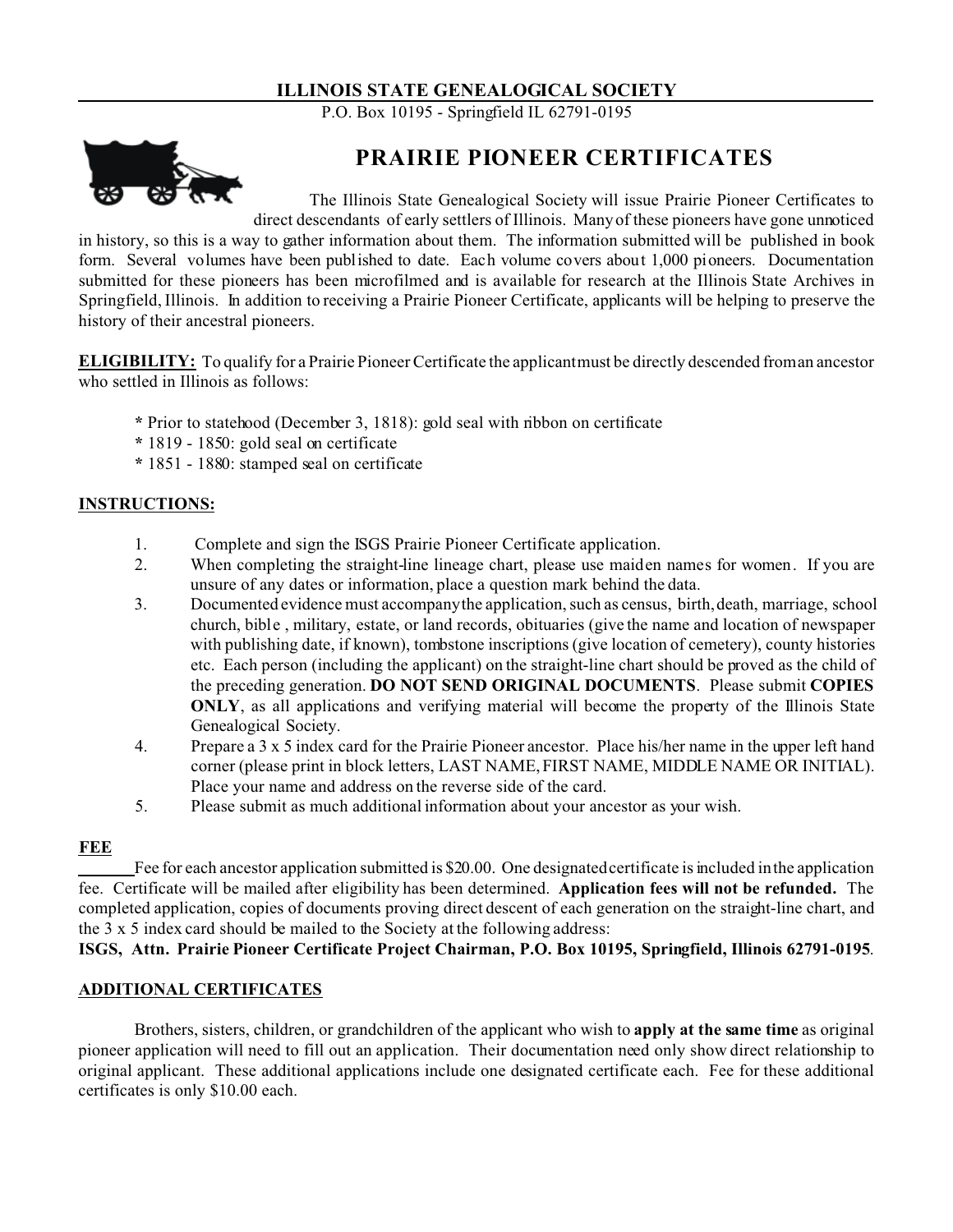## **ILLINOIS STATE GENEALOGICAL SOCIETY**

P.O. Box 10195 - Springfield IL 62791-0195



# **PRAIRIE PIONEER CERTIFICATES**

The Illinois State Genealogical Society will issue Prairie Pioneer Certificates to direct descendants of early settlers of Illinois. Many of these pioneers have gone unnoticed

in history, so this is a way to gather information about them. The information submitted will be published in book form. Several volumes have been published to date. Each volume covers about 1,000 pioneers. Documentation submitted for these pioneers has been microfilmed and is available for research at the Illinois State Archives in Springfield, Illinois. In addition to receiving a Prairie Pioneer Certificate, applicants will be helping to preserve the history of their ancestral pioneers.

**ELIGIBILITY:** To qualify for a Prairie Pioneer Certificate the applicant must be directly descended from an ancestor who settled in Illinois as follows:

- **\*** Prior to statehood (December 3, 1818): gold seal with ribbon on certificate
- **\*** 1819 1850: gold seal on certificate
- **\*** 1851 1880: stamped seal on certificate

## **INSTRUCTIONS:**

- 1. Complete and sign the ISGS Prairie Pioneer Certificate application.
- 2. When completing the straight-line lineage chart, please use maiden names for women. If you are unsure of any dates or information, place a question mark behind the data.
- 3. Documented evidence must accompany the application, such as census, birth, death, marriage, school church, bible , military, estate, or land records, obituaries (give the name and location of newspaper with publishing date, if known), tombstone inscriptions (give location of cemetery), county histories etc. Each person (including the applicant) on the straight-line chart should be proved as the child of the preceding generation. **DO NOT SEND ORIGINAL DOCUMENTS**. Please submit **COPIES ONLY**, as all applications and verifying material will become the property of the Illinois State Genealogical Society.
- 4. Prepare a 3 x 5 index card for the Prairie Pioneer ancestor. Place his/her name in the upper left hand corner (please print in block letters, LAST NAME, FIRST NAME, MIDDLE NAME OR INITIAL). Place your name and address on the reverse side of the card.
- 5. Please submit as much additional information about your ancestor as your wish.

## **FEE**

Fee for each ancestor application submitted is \$20.00. One designated certificate is included in the application fee. Certificate will be mailed after eligibility has been determined. **Application fees will not be refunded.** The completed application, copies of documents proving direct descent of each generation on the straight-line chart, and the 3 x 5 index card should be mailed to the Society at the following address:

**ISGS, Attn. Prairie Pioneer Certificate Project Chairman, P.O. Box 10195, Springfield, Illinois 62791-0195**.

## **ADDITIONAL CERTIFICATES**

Brothers, sisters, children, or grandchildren of the applicant who wish to **apply at the same time** as original pioneer application will need to fill out an application. Their documentation need only show direct relationship to original applicant. These additional applications include one designated certificate each. Fee for these additional certificates is only \$10.00 each.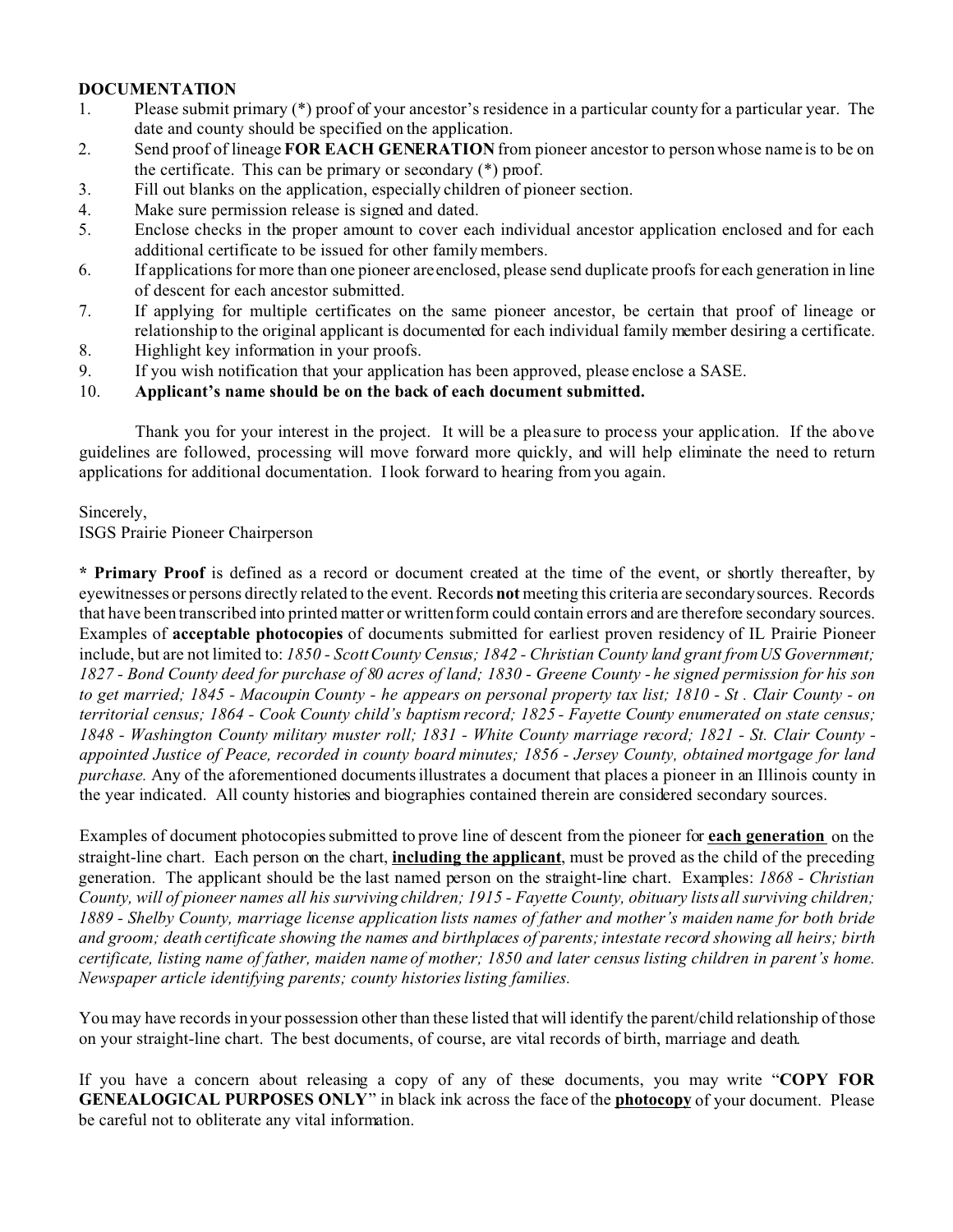## **DOCUMENTATION**

- 1. Please submit primary (\*) proof of your ancestor's residence in a particular county for a particular year. The date and county should be specified on the application.
- 2. Send proof of lineage **FOR EACH GENERATION** from pioneer ancestor to person whose name is to be on the certificate. This can be primary or secondary (\*) proof.
- 3. Fill out blanks on the application, especially children of pioneer section.
- 4. Make sure permission release is signed and dated.
- 5. Enclose checks in the proper amount to cover each individual ancestor application enclosed and for each additional certificate to be issued for other family members.
- 6. If applications for more than one pioneer are enclosed, please send duplicate proofs for each generation in line of descent for each ancestor submitted.
- 7. If applying for multiple certificates on the same pioneer ancestor, be certain that proof of lineage or relationship to the original applicant is documented for each individual family member desiring a certificate.
- 8. Highlight key information in your proofs.
- 9. If you wish notification that your application has been approved, please enclose a SASE.
- 10. **Applicant's name should be on the back of each document submitted.**

Thank you for your interest in the project. It will be a pleasure to process your application. If the above guidelines are followed, processing will move forward more quickly, and will help eliminate the need to return applications for additional documentation. I look forward to hearing from you again.

## Sincerely,

ISGS Prairie Pioneer Chairperson

**\* Primary Proof** is defined as a record or document created at the time of the event, or shortly thereafter, by eyewitnesses or persons directly related to the event. Records **not** meeting this criteria are secondary sources. Records that have been transcribed into printed matter or written form could contain errors and are therefore secondary sources. Examples of **acceptable photocopies** of documents submitted for earliest proven residency of IL Prairie Pioneer include, but are not limited to: *1850 - Scott County Census; 1842 - Christian County land grant from US Government; 1827 - Bond County deed for purchase of 80 acres of land; 1830 - Greene County - he signed permission for his son to get married; 1845 - Macoupin County - he appears on personal property tax list; 1810 - St . Clair County - on territorial census; 1864 - Cook County child's baptism record; 1825 - Fayette County enumerated on state census; 1848 - Washington County military muster roll; 1831 - White County marriage record; 1821 - St. Clair County appointed Justice of Peace, recorded in county board minutes; 1856 - Jersey County, obtained mortgage for land purchase.* Any of the aforementioned documents illustrates a document that places a pioneer in an Illinois county in the year indicated. All county histories and biographies contained therein are considered secondary sources.

Examples of document photocopies submitted to prove line of descent from the pioneer for **each generation** on the straight-line chart. Each person on the chart, **including the applicant**, must be proved as the child of the preceding generation. The applicant should be the last named person on the straight-line chart. Examples: *1868 - Christian County, will of pioneer names all his surviving children; 1915 - Fayette County, obituary lists all surviving children; 1889 - Shelby County, marriage license application lists names of father and mother's maiden name for both bride and groom; death certificate showing the names and birthplaces of parents; intestate record showing all heirs; birth certificate, listing name of father, maiden name of mother; 1850 and later census listing children in parent's home. Newspaper article identifying parents; county histories listing families.*

You may have records in your possession other than these listed that will identify the parent/child relationship of those on your straight-line chart. The best documents, of course, are vital records of birth, marriage and death.

If you have a concern about releasing a copy of any of these documents, you may write "**COPY FOR GENEALOGICAL PURPOSES ONLY**" in black ink across the face of the **photocopy** of your document. Please be careful not to obliterate any vital information.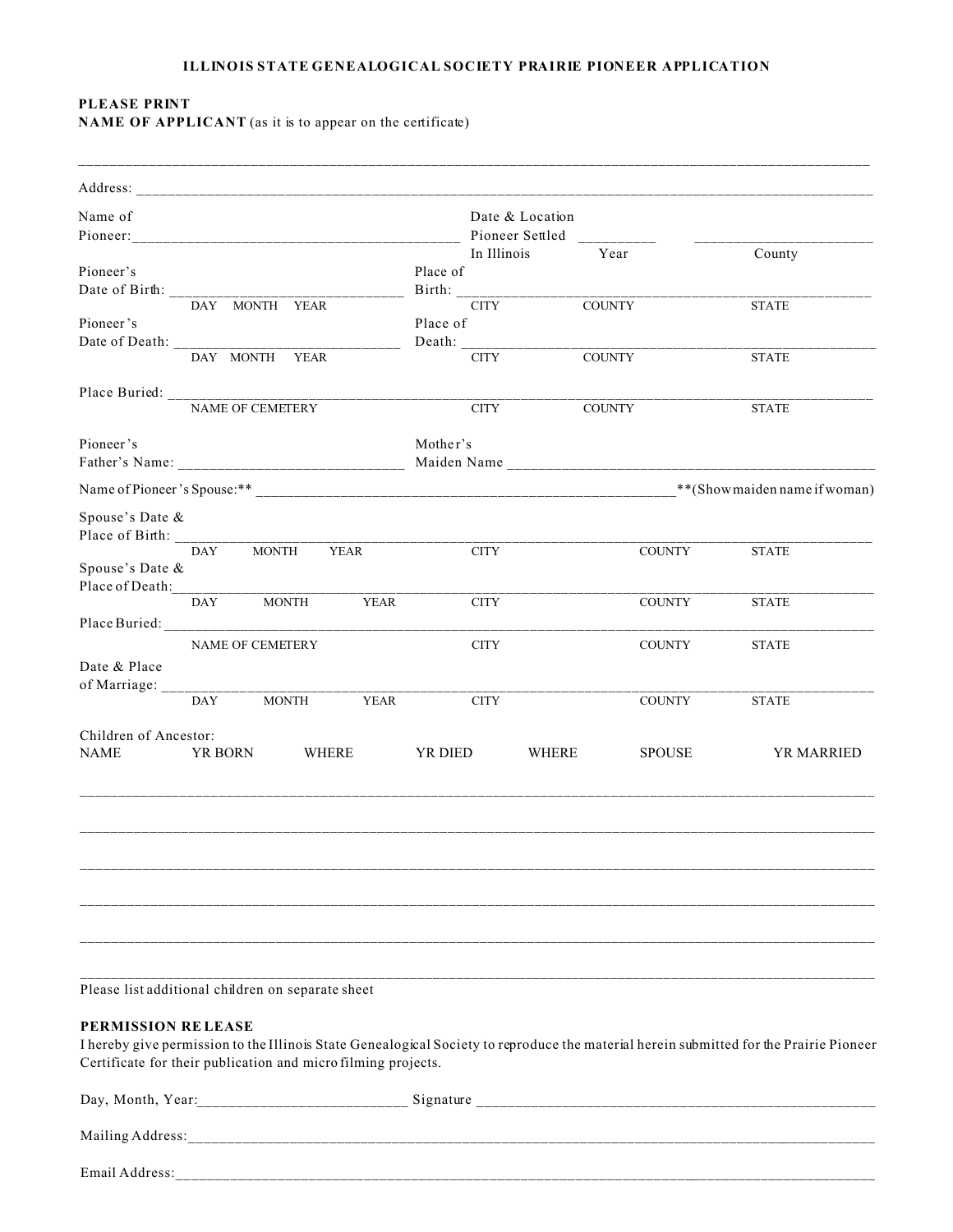#### **ILLINOIS STATE GENEALOGICAL SOCIETY PRAIRIE PIONEER APPLICATION**

# **PLEASE PRINT**

**NAME OF APPLICANT** (as it is to appear on the certificate)

| Name of               |            |                                                   |      |                                     | Date & Location |       |               |              |            |
|-----------------------|------------|---------------------------------------------------|------|-------------------------------------|-----------------|-------|---------------|--------------|------------|
|                       |            |                                                   |      |                                     | Pioneer Settled |       |               |              |            |
|                       |            |                                                   |      |                                     | In Illinois     |       | Year          | County       |            |
| Pioneer's             |            |                                                   |      | Place of                            |                 |       |               |              |            |
|                       |            |                                                   |      |                                     |                 |       |               |              |            |
|                       |            |                                                   |      | $\frac{\text{Birth:}}{\text{CITY}}$ |                 |       | <b>COUNTY</b> | <b>STATE</b> |            |
| Pioneer's             |            |                                                   |      | Place of                            |                 |       |               |              |            |
|                       |            |                                                   |      |                                     |                 |       |               |              |            |
|                       |            | DAY MONTH YEAR                                    |      |                                     | <b>CITY</b>     |       | <b>COUNTY</b> | <b>STATE</b> |            |
|                       |            |                                                   |      |                                     |                 |       |               |              |            |
|                       |            |                                                   |      |                                     | <b>CITY</b>     |       | COUNTY        | <b>STATE</b> |            |
| Pioneer's             |            |                                                   |      | Mother's                            |                 |       |               |              |            |
|                       |            |                                                   |      |                                     |                 |       |               |              |            |
|                       |            |                                                   |      |                                     |                 |       |               |              |            |
| Spouse's Date &       |            |                                                   |      |                                     |                 |       |               |              |            |
| Place of Birth: _____ |            |                                                   |      |                                     |                 |       |               |              |            |
|                       | <b>DAY</b> | MONTH                                             | YEAR |                                     | CITY            |       | <b>COUNTY</b> | <b>STATE</b> |            |
| Spouse's Date &       |            |                                                   |      |                                     |                 |       |               |              |            |
| Place of Death:       |            |                                                   |      |                                     |                 |       |               |              |            |
|                       | <b>DAY</b> | <b>MONTH</b>                                      | YEAR |                                     | <b>CITY</b>     |       | COUNTY        | <b>STATE</b> |            |
|                       |            |                                                   |      |                                     |                 |       |               |              |            |
|                       |            |                                                   |      |                                     |                 |       |               |              |            |
|                       |            | NAME OF CEMETERY                                  |      |                                     | <b>CITY</b>     |       | <b>COUNTY</b> | <b>STATE</b> |            |
| Date & Place          |            |                                                   |      |                                     |                 |       |               |              |            |
| of Marriage: _____    |            |                                                   |      |                                     |                 |       |               |              |            |
|                       | <b>DAY</b> | MONTH                                             | YEAR |                                     | <b>CITY</b>     |       | <b>COUNTY</b> | <b>STATE</b> |            |
| Children of Ancestor: |            |                                                   |      |                                     |                 |       |               |              |            |
| <b>NAME</b>           | YR BORN    | WHERE                                             |      | YR DIED                             |                 | WHERE | <b>SPOUSE</b> |              | YR MARRIED |
|                       |            |                                                   |      |                                     |                 |       |               |              |            |
|                       |            |                                                   |      |                                     |                 |       |               |              |            |
|                       |            |                                                   |      |                                     |                 |       |               |              |            |
|                       |            |                                                   |      |                                     |                 |       |               |              |            |
|                       |            |                                                   |      |                                     |                 |       |               |              |            |
|                       |            | Please list additional children on separate sheet |      |                                     |                 |       |               |              |            |

### **PERMISSION RE LEASE**

I hereby give permission to the Illinois State Genealogical Society to reproduce the material herein submitted for the Prairie Pioneer Certificate for their publication and micro filming projects.

| Day, Month, Year: | Signature |
|-------------------|-----------|
| Mailing Address:  |           |
| Email Address:    |           |